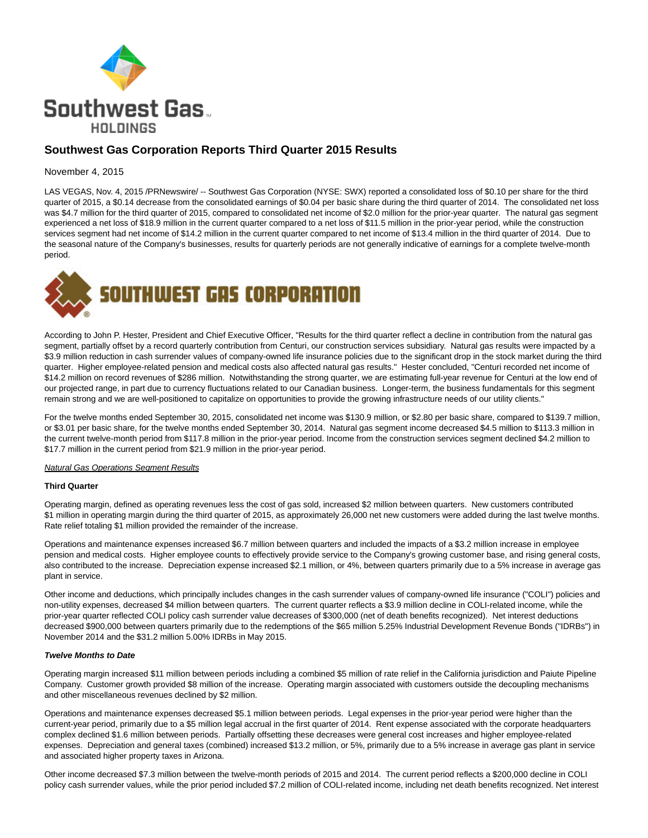

# **Southwest Gas Corporation Reports Third Quarter 2015 Results**

## November 4, 2015

LAS VEGAS, Nov. 4, 2015 /PRNewswire/ -- Southwest Gas Corporation (NYSE: SWX) reported a consolidated loss of \$0.10 per share for the third quarter of 2015, a \$0.14 decrease from the consolidated earnings of \$0.04 per basic share during the third quarter of 2014. The consolidated net loss was \$4.7 million for the third quarter of 2015, compared to consolidated net income of \$2.0 million for the prior-year quarter. The natural gas segment experienced a net loss of \$18.9 million in the current quarter compared to a net loss of \$11.5 million in the prior-year period, while the construction services segment had net income of \$14.2 million in the current quarter compared to net income of \$13.4 million in the third quarter of 2014. Due to the seasonal nature of the Company's businesses, results for quarterly periods are not generally indicative of earnings for a complete twelve-month period.



According to John P. Hester, President and Chief Executive Officer, "Results for the third quarter reflect a decline in contribution from the natural gas segment, partially offset by a record quarterly contribution from Centuri, our construction services subsidiary. Natural gas results were impacted by a \$3.9 million reduction in cash surrender values of company-owned life insurance policies due to the significant drop in the stock market during the third quarter. Higher employee-related pension and medical costs also affected natural gas results." Hester concluded, "Centuri recorded net income of \$14.2 million on record revenues of \$286 million. Notwithstanding the strong quarter, we are estimating full-year revenue for Centuri at the low end of our projected range, in part due to currency fluctuations related to our Canadian business. Longer-term, the business fundamentals for this segment remain strong and we are well-positioned to capitalize on opportunities to provide the growing infrastructure needs of our utility clients."

For the twelve months ended September 30, 2015, consolidated net income was \$130.9 million, or \$2.80 per basic share, compared to \$139.7 million, or \$3.01 per basic share, for the twelve months ended September 30, 2014. Natural gas segment income decreased \$4.5 million to \$113.3 million in the current twelve-month period from \$117.8 million in the prior-year period. Income from the construction services segment declined \$4.2 million to \$17.7 million in the current period from \$21.9 million in the prior-year period.

#### **Natural Gas Operations Segment Results**

#### **Third Quarter**

Operating margin, defined as operating revenues less the cost of gas sold, increased \$2 million between quarters. New customers contributed \$1 million in operating margin during the third quarter of 2015, as approximately 26,000 net new customers were added during the last twelve months. Rate relief totaling \$1 million provided the remainder of the increase.

Operations and maintenance expenses increased \$6.7 million between quarters and included the impacts of a \$3.2 million increase in employee pension and medical costs. Higher employee counts to effectively provide service to the Company's growing customer base, and rising general costs, also contributed to the increase. Depreciation expense increased \$2.1 million, or 4%, between quarters primarily due to a 5% increase in average gas plant in service.

Other income and deductions, which principally includes changes in the cash surrender values of company-owned life insurance ("COLI") policies and non-utility expenses, decreased \$4 million between quarters. The current quarter reflects a \$3.9 million decline in COLI-related income, while the prior-year quarter reflected COLI policy cash surrender value decreases of \$300,000 (net of death benefits recognized). Net interest deductions decreased \$900,000 between quarters primarily due to the redemptions of the \$65 million 5.25% Industrial Development Revenue Bonds ("IDRBs") in November 2014 and the \$31.2 million 5.00% IDRBs in May 2015.

#### **Twelve Months to Date**

Operating margin increased \$11 million between periods including a combined \$5 million of rate relief in the California jurisdiction and Paiute Pipeline Company. Customer growth provided \$8 million of the increase. Operating margin associated with customers outside the decoupling mechanisms and other miscellaneous revenues declined by \$2 million.

Operations and maintenance expenses decreased \$5.1 million between periods. Legal expenses in the prior-year period were higher than the current-year period, primarily due to a \$5 million legal accrual in the first quarter of 2014. Rent expense associated with the corporate headquarters complex declined \$1.6 million between periods. Partially offsetting these decreases were general cost increases and higher employee-related expenses. Depreciation and general taxes (combined) increased \$13.2 million, or 5%, primarily due to a 5% increase in average gas plant in service and associated higher property taxes in Arizona.

Other income decreased \$7.3 million between the twelve-month periods of 2015 and 2014. The current period reflects a \$200,000 decline in COLI policy cash surrender values, while the prior period included \$7.2 million of COLI-related income, including net death benefits recognized. Net interest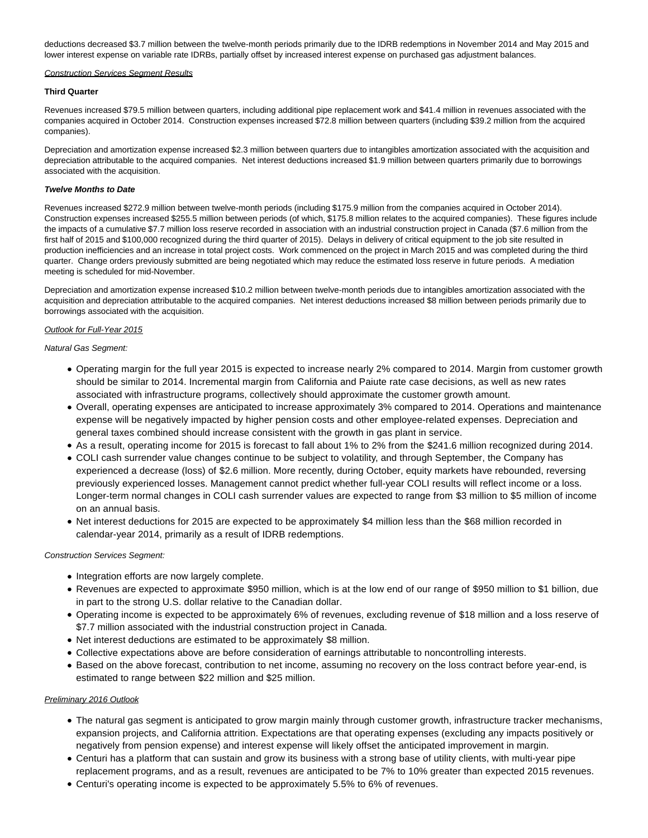deductions decreased \$3.7 million between the twelve-month periods primarily due to the IDRB redemptions in November 2014 and May 2015 and lower interest expense on variable rate IDRBs, partially offset by increased interest expense on purchased gas adjustment balances.

#### Construction Services Segment Results

#### **Third Quarter**

Revenues increased \$79.5 million between quarters, including additional pipe replacement work and \$41.4 million in revenues associated with the companies acquired in October 2014. Construction expenses increased \$72.8 million between quarters (including \$39.2 million from the acquired companies).

Depreciation and amortization expense increased \$2.3 million between quarters due to intangibles amortization associated with the acquisition and depreciation attributable to the acquired companies. Net interest deductions increased \$1.9 million between quarters primarily due to borrowings associated with the acquisition.

## **Twelve Months to Date**

Revenues increased \$272.9 million between twelve-month periods (including \$175.9 million from the companies acquired in October 2014). Construction expenses increased \$255.5 million between periods (of which, \$175.8 million relates to the acquired companies). These figures include the impacts of a cumulative \$7.7 million loss reserve recorded in association with an industrial construction project in Canada (\$7.6 million from the first half of 2015 and \$100,000 recognized during the third quarter of 2015). Delays in delivery of critical equipment to the job site resulted in production inefficiencies and an increase in total project costs. Work commenced on the project in March 2015 and was completed during the third quarter. Change orders previously submitted are being negotiated which may reduce the estimated loss reserve in future periods. A mediation meeting is scheduled for mid-November.

Depreciation and amortization expense increased \$10.2 million between twelve-month periods due to intangibles amortization associated with the acquisition and depreciation attributable to the acquired companies. Net interest deductions increased \$8 million between periods primarily due to borrowings associated with the acquisition.

## Outlook for Full-Year 2015

Natural Gas Segment:

- Operating margin for the full year 2015 is expected to increase nearly 2% compared to 2014. Margin from customer growth should be similar to 2014. Incremental margin from California and Paiute rate case decisions, as well as new rates associated with infrastructure programs, collectively should approximate the customer growth amount.
- Overall, operating expenses are anticipated to increase approximately 3% compared to 2014. Operations and maintenance expense will be negatively impacted by higher pension costs and other employee-related expenses. Depreciation and general taxes combined should increase consistent with the growth in gas plant in service.
- As a result, operating income for 2015 is forecast to fall about 1% to 2% from the \$241.6 million recognized during 2014.
- COLI cash surrender value changes continue to be subject to volatility, and through September, the Company has experienced a decrease (loss) of \$2.6 million. More recently, during October, equity markets have rebounded, reversing previously experienced losses. Management cannot predict whether full-year COLI results will reflect income or a loss. Longer-term normal changes in COLI cash surrender values are expected to range from \$3 million to \$5 million of income on an annual basis.
- Net interest deductions for 2015 are expected to be approximately \$4 million less than the \$68 million recorded in calendar-year 2014, primarily as a result of IDRB redemptions.

## Construction Services Segment:

- Integration efforts are now largely complete.
- Revenues are expected to approximate \$950 million, which is at the low end of our range of \$950 million to \$1 billion, due in part to the strong U.S. dollar relative to the Canadian dollar.
- Operating income is expected to be approximately 6% of revenues, excluding revenue of \$18 million and a loss reserve of \$7.7 million associated with the industrial construction project in Canada.
- Net interest deductions are estimated to be approximately \$8 million.
- Collective expectations above are before consideration of earnings attributable to noncontrolling interests.
- Based on the above forecast, contribution to net income, assuming no recovery on the loss contract before year-end, is estimated to range between \$22 million and \$25 million.

# Preliminary 2016 Outlook

- The natural gas segment is anticipated to grow margin mainly through customer growth, infrastructure tracker mechanisms, expansion projects, and California attrition. Expectations are that operating expenses (excluding any impacts positively or negatively from pension expense) and interest expense will likely offset the anticipated improvement in margin.
- Centuri has a platform that can sustain and grow its business with a strong base of utility clients, with multi-year pipe replacement programs, and as a result, revenues are anticipated to be 7% to 10% greater than expected 2015 revenues.
- Centuri's operating income is expected to be approximately 5.5% to 6% of revenues.